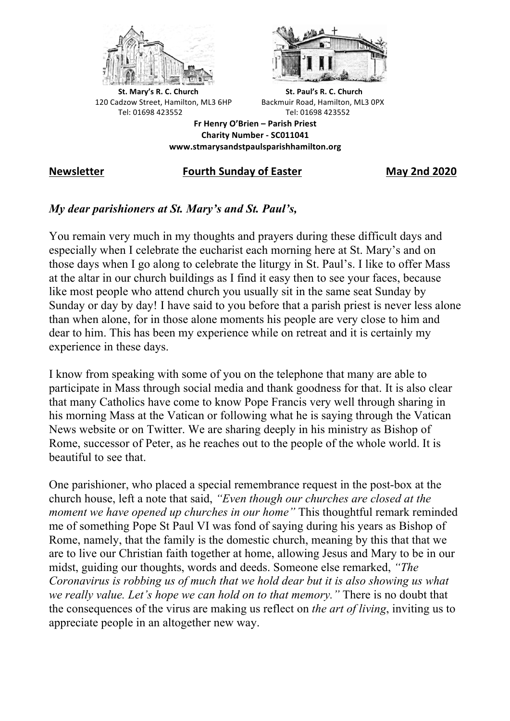



**St.** Mary's R. C. Church St. Paul's R. C. Church 120 Cadzow Street, Hamilton, ML3 6HP Backmuir Road, Hamilton, ML3 0PX Tel: 01698 423552 Tel: 01698 423552

**Fr Henry O'Brien – Parish Priest Charity Number - SC011041 www.stmarysandstpaulsparishhamilton.org**

## **Newsletter Fourth Sunday of Easter May 2nd 2020**

## *My dear parishioners at St. Mary's and St. Paul's,*

You remain very much in my thoughts and prayers during these difficult days and especially when I celebrate the eucharist each morning here at St. Mary's and on those days when I go along to celebrate the liturgy in St. Paul's. I like to offer Mass at the altar in our church buildings as I find it easy then to see your faces, because like most people who attend church you usually sit in the same seat Sunday by Sunday or day by day! I have said to you before that a parish priest is never less alone than when alone, for in those alone moments his people are very close to him and dear to him. This has been my experience while on retreat and it is certainly my experience in these days.

I know from speaking with some of you on the telephone that many are able to participate in Mass through social media and thank goodness for that. It is also clear that many Catholics have come to know Pope Francis very well through sharing in his morning Mass at the Vatican or following what he is saying through the Vatican News website or on Twitter. We are sharing deeply in his ministry as Bishop of Rome, successor of Peter, as he reaches out to the people of the whole world. It is beautiful to see that.

One parishioner, who placed a special remembrance request in the post-box at the church house, left a note that said, *"Even though our churches are closed at the moment we have opened up churches in our home*" This thoughtful remark reminded me of something Pope St Paul VI was fond of saying during his years as Bishop of Rome, namely, that the family is the domestic church, meaning by this that that we are to live our Christian faith together at home, allowing Jesus and Mary to be in our midst, guiding our thoughts, words and deeds. Someone else remarked, *"The Coronavirus is robbing us of much that we hold dear but it is also showing us what we really value. Let's hope we can hold on to that memory."* There is no doubt that the consequences of the virus are making us reflect on *the art of living*, inviting us to appreciate people in an altogether new way.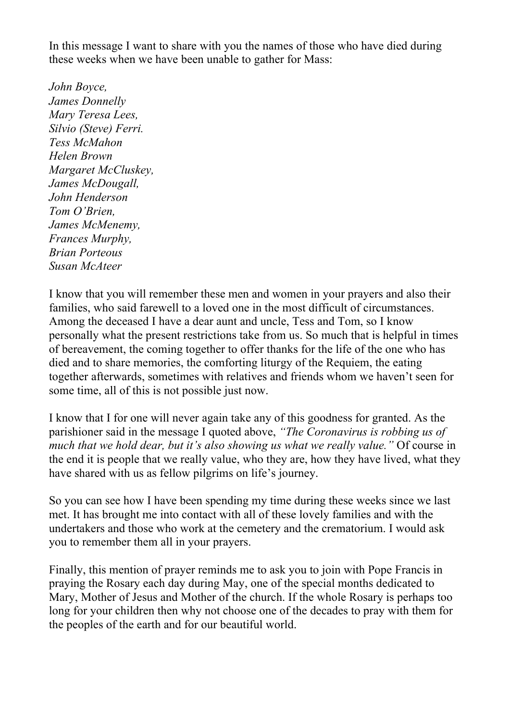In this message I want to share with you the names of those who have died during these weeks when we have been unable to gather for Mass:

*John Boyce, James Donnelly Mary Teresa Lees, Silvio (Steve) Ferri. Tess McMahon Helen Brown Margaret McCluskey, James McDougall, John Henderson Tom O'Brien, James McMenemy, Frances Murphy, Brian Porteous Susan McAteer*

I know that you will remember these men and women in your prayers and also their families, who said farewell to a loved one in the most difficult of circumstances. Among the deceased I have a dear aunt and uncle, Tess and Tom, so I know personally what the present restrictions take from us. So much that is helpful in times of bereavement, the coming together to offer thanks for the life of the one who has died and to share memories, the comforting liturgy of the Requiem, the eating together afterwards, sometimes with relatives and friends whom we haven't seen for some time, all of this is not possible just now.

I know that I for one will never again take any of this goodness for granted. As the parishioner said in the message I quoted above, *"The Coronavirus is robbing us of much that we hold dear, but it's also showing us what we really value."* Of course in the end it is people that we really value, who they are, how they have lived, what they have shared with us as fellow pilgrims on life's journey.

So you can see how I have been spending my time during these weeks since we last met. It has brought me into contact with all of these lovely families and with the undertakers and those who work at the cemetery and the crematorium. I would ask you to remember them all in your prayers.

Finally, this mention of prayer reminds me to ask you to join with Pope Francis in praying the Rosary each day during May, one of the special months dedicated to Mary, Mother of Jesus and Mother of the church. If the whole Rosary is perhaps too long for your children then why not choose one of the decades to pray with them for the peoples of the earth and for our beautiful world.